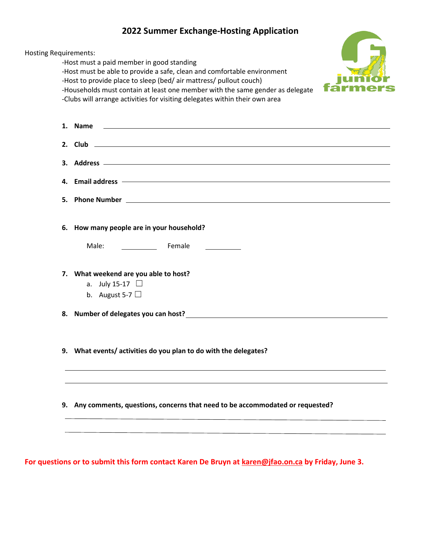## **2022 Summer Exchange-Hosting Application**

**All Dealer** 

| -Host to provide place to sleep (bed/ air mattress/ pullout couch)<br>-Households must contain at least one member with the same gender as delegate<br>-Clubs will arrange activities for visiting delegates within their own area   |
|--------------------------------------------------------------------------------------------------------------------------------------------------------------------------------------------------------------------------------------|
| <u> 1989 - Johann Harry Harry Harry Harry Harry Harry Harry Harry Harry Harry Harry Harry Harry Harry Harry Harry H</u><br>1. Name                                                                                                   |
|                                                                                                                                                                                                                                      |
|                                                                                                                                                                                                                                      |
| 4. Email address <b>example and the contract of the contract of the contract of the contract of the contract of the contract of the contract of the contract of the contract of the contract of the contract of the contract of </b> |
|                                                                                                                                                                                                                                      |
| 6. How many people are in your household?                                                                                                                                                                                            |
| <b>Example 18 Female</b><br>Male:                                                                                                                                                                                                    |
| 7. What weekend are you able to host?                                                                                                                                                                                                |
| a. July 15-17 $\Box$<br>b. August 5-7 $\Box$                                                                                                                                                                                         |
| 8. Number of delegates you can host?<br>and the contract of the contract of the contract of the contract of the contract of the contract of the contract of the contract of the contract of the contract of the contract of the      |
| 9. What events/activities do you plan to do with the delegates?                                                                                                                                                                      |
|                                                                                                                                                                                                                                      |
| 9. Any comments, questions, concerns that need to be accommodated or requested?                                                                                                                                                      |

**For questions or to submit this form contact Karen De Bruyn at [karen@jfao.on.ca](mailto:karen@jfao.on.ca) by Friday, June 3.**